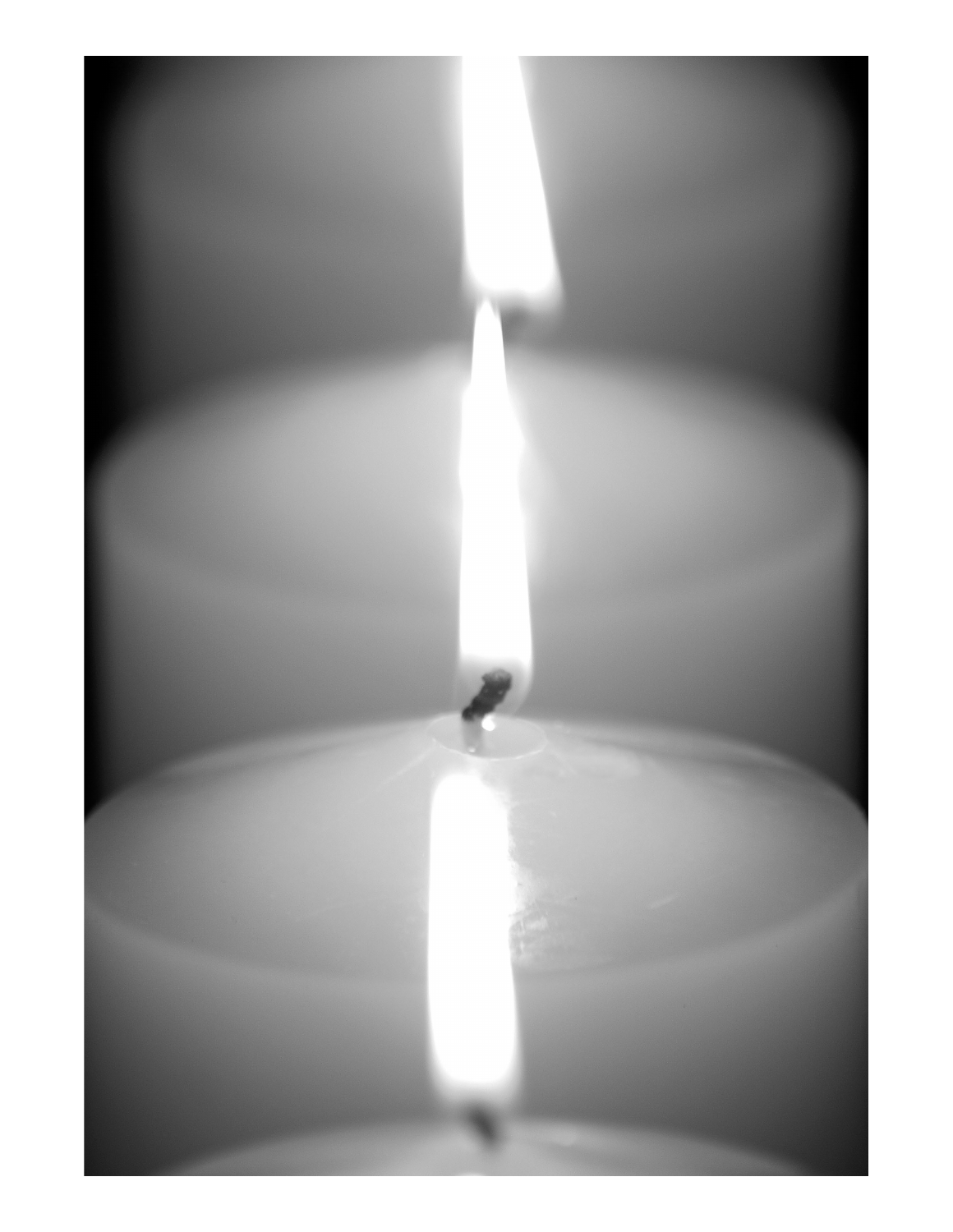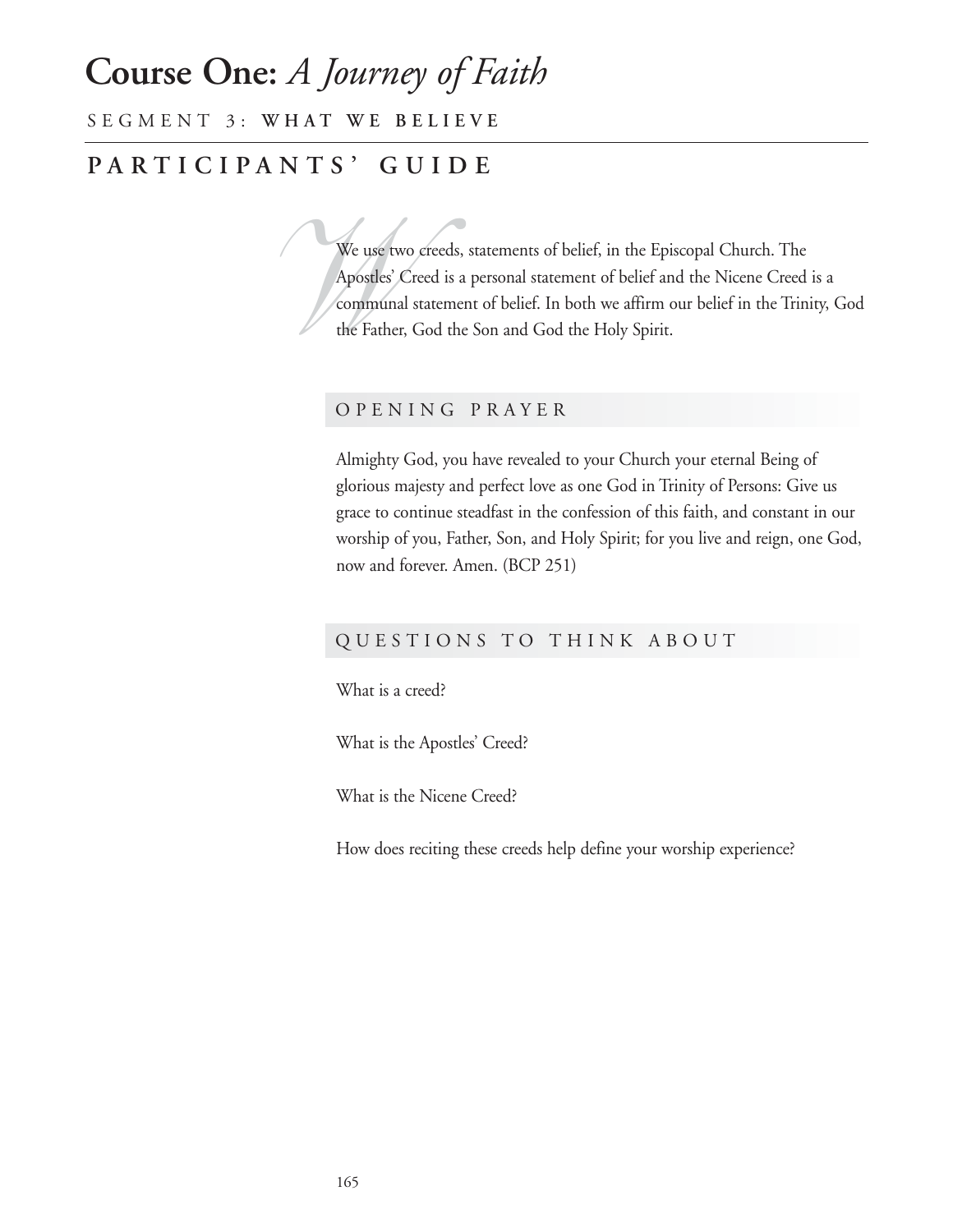# **Course One:** *A Journey of Faith*

SEGMENT 3: **WHAT WE BELIEVE**

# **P A R TICIPANTS' GUIDE**

We use two creeds, statements of belief, in the Episcopal Church. The Apostles' Creed is a personal statement of belief and the Nicene Creed is a communal statement of belief. In both we affirm our belief in the Trinity, God the Father, God the Son and God the Holy Spirit.

#### OPENING PRAYER

Almighty God, you have revealed to your Church your eternal Being of glorious majesty and perfect love as one God in Trinity of Persons: Give us grace to continue steadfast in the confession of this faith, and constant in our worship of you, Father, Son, and Holy Spirit; for you live and reign, one God, now and forever. Amen. (BCP 251)

## Q UESTIONS TO THINK ABOUT

What is a creed?

What is the Apostles' Creed?

What is the Nicene Creed?

How does reciting these creeds help define your worship experience?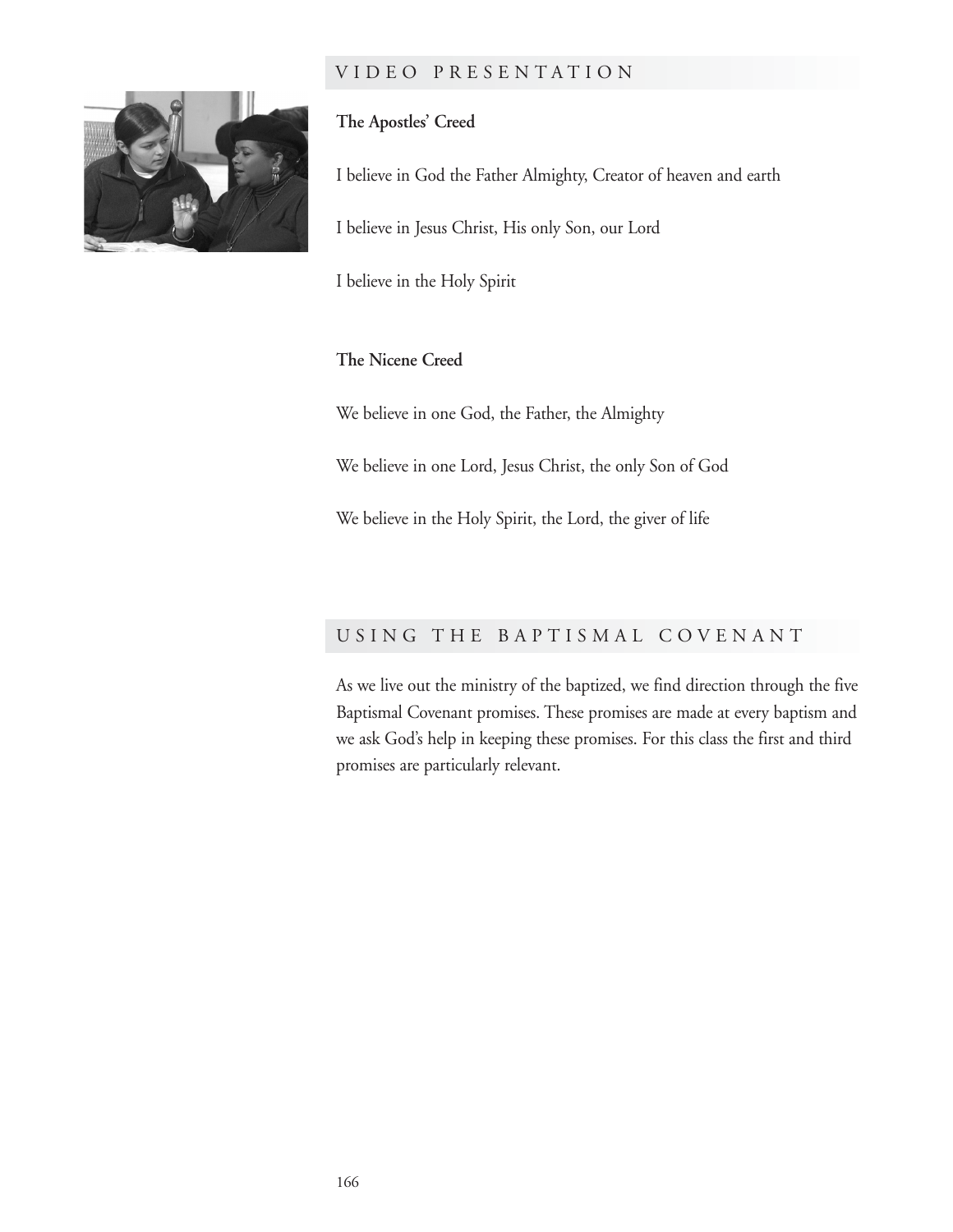## VIDEO PRESENTATION



## **The Apostles' Creed**

I believe in God the Father Almighty, Creator of heaven and earth

I believe in Jesus Christ, His only Son, our Lord

I believe in the Holy Spirit

#### **The Nicene Creed**

We believe in one God, the Father, the Almighty

We believe in one Lord, Jesus Christ, the only Son of God

We believe in the Holy Spirit, the Lord, the giver of life

## USING THE BAPTISMAL COVENANT

As we live out the ministry of the baptized, we find direction through the five Baptismal Covenant promises. These promises are made at every baptism and we ask God's help in keeping these promises. For this class the first and third promises are particularly relevant.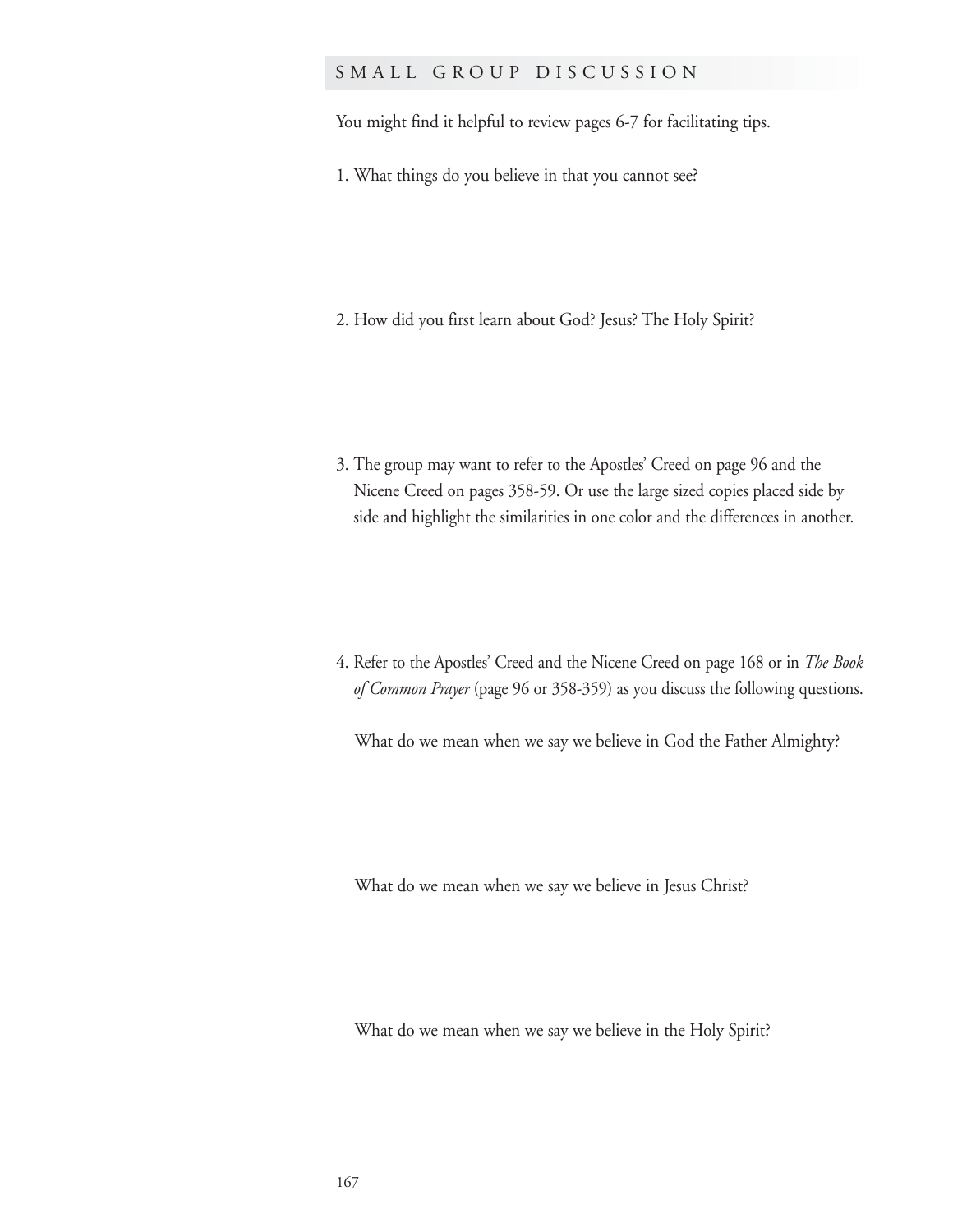#### SMALL GROUP DISCUSSION

You might find it helpful to review pages 6-7 for facilitating tips.

1. What things do you believe in that you cannot see?

2. How did you first learn about God? Jesus? The Holy Spirit?

3. The group may want to refer to the Apostles' Creed on page 96 and the Nicene Creed on pages 358-59. Or use the large sized copies placed side by side and highlight the similarities in one color and the differences in another.

4. Refer to the Apostles' Creed and the Nicene Creed on page 168 or in *The Book of Common Prayer* (page 96 or 358-359) as you discuss the following questions.

What do we mean when we say we believe in God the Father Almighty?

What do we mean when we say we believe in Jesus Christ?

What do we mean when we say we believe in the Holy Spirit?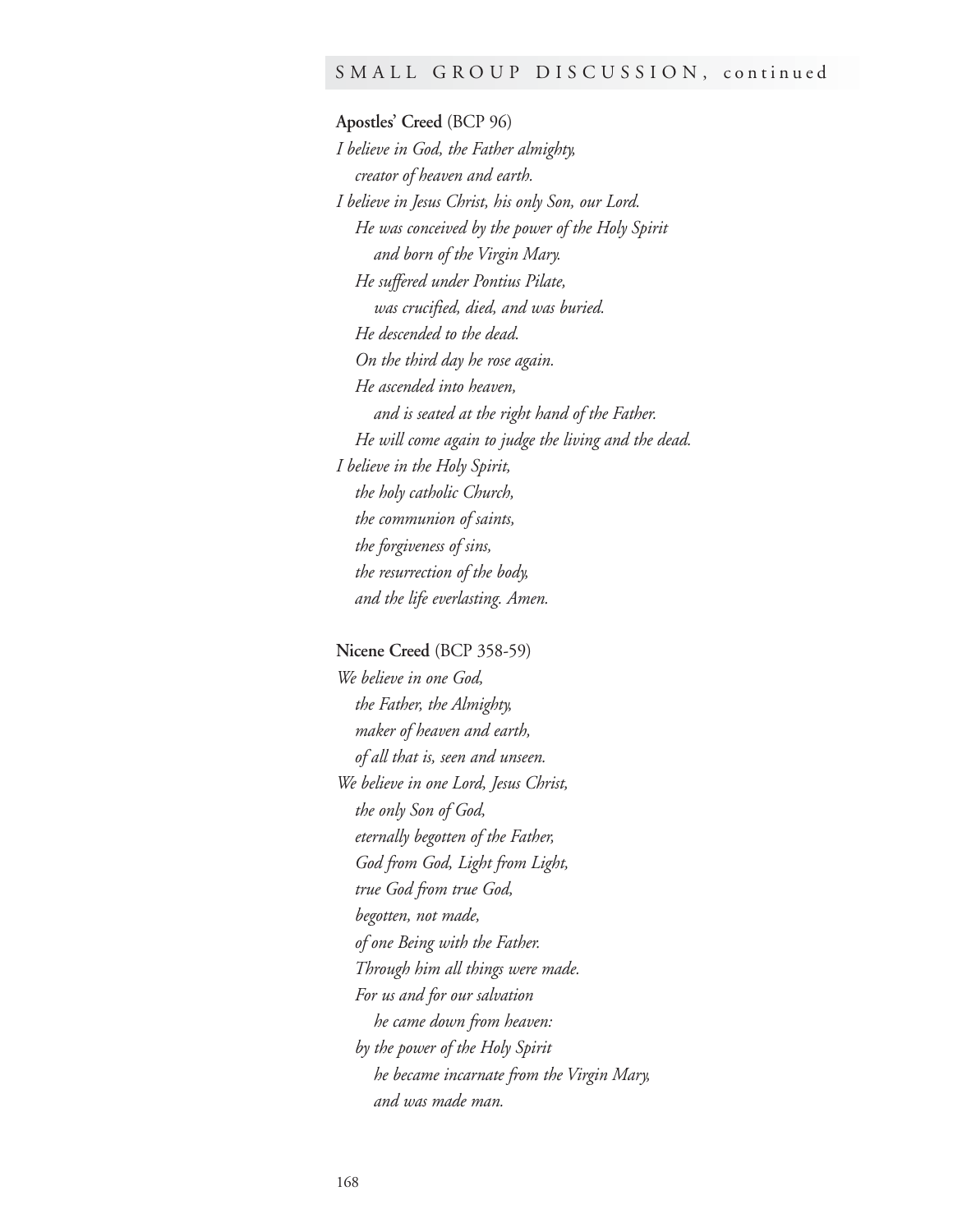#### SMALL GROUP DISCUSSION, continued

**Apostles' Creed** (BCP 96)

*I believe in God, the Father almighty, creator of heaven and earth. I believe in Jesus Christ, his only Son, our Lord. He was conceived by the power of the Holy Spirit and born of the Virgin Mary. He suffered under Pontius Pilate, was crucified, died, and was buried. He descended to the dead. On the third day he rose again. He ascended into heaven, and is seated at the right hand of the Father. He will come again to judge the living and the dead. I believe in the Holy Spirit, the holy catholic Church, the communion of saints, the forgiveness of sins, the resurrection of the body, and the life everlasting. Amen.*

**Nicene Creed** (BCP 358-59)

*We believe in one God, the Father, the Almighty, maker of heaven and earth, of all that is, seen and unseen. We believe in one Lord, Jesus Christ, the only Son of God, eternally begotten of the Father, God from God, Light from Light, true God from true God, begotten, not made, of one Being with the Father. Through him all things were made. For us and for our salvation he came down from heaven: by the power of the Holy Spirit he became incarnate from the Virgin Mary, and was made man.*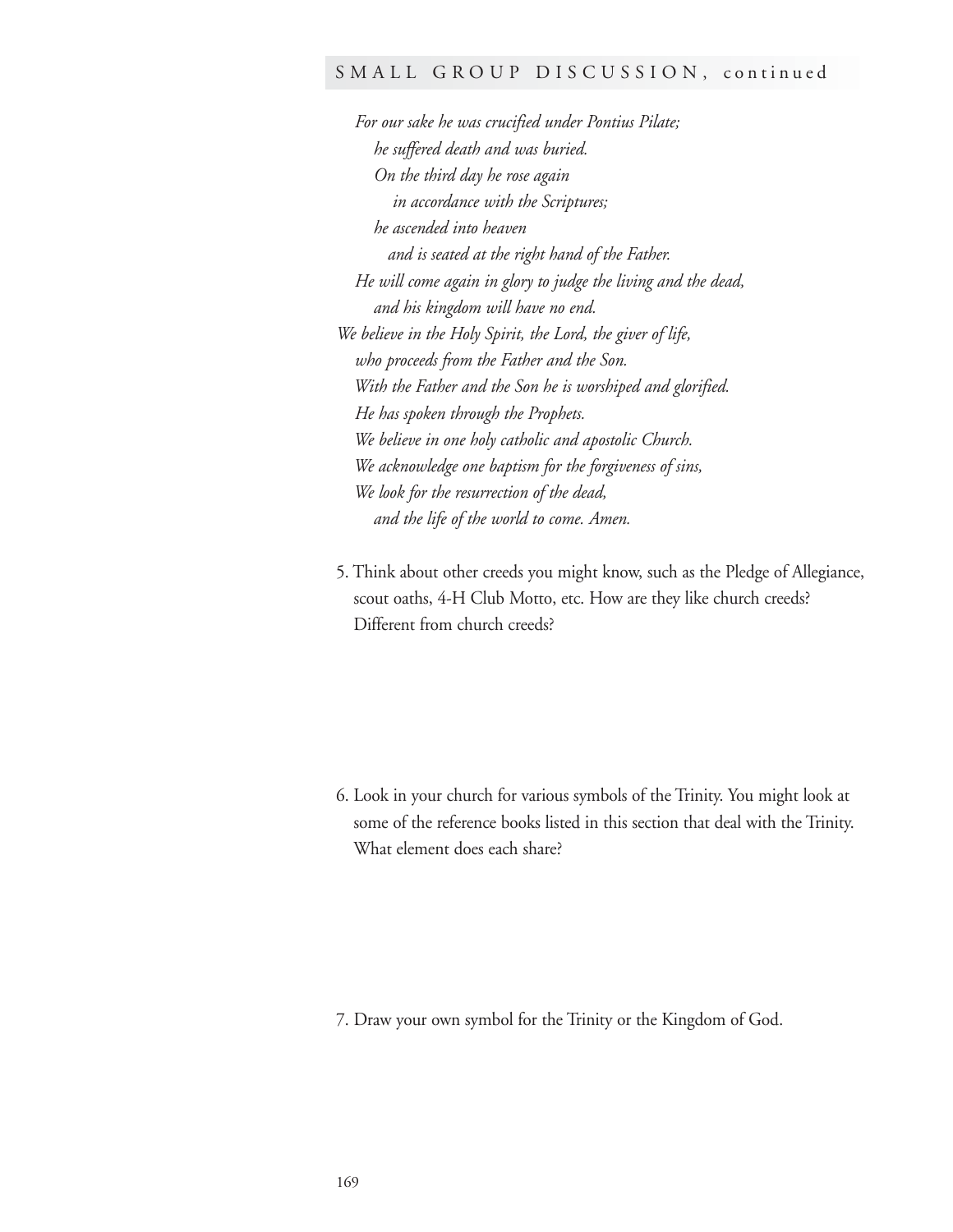#### SMALL GROUP DISCUSSION, continued

*For our sake he was crucified under Pontius Pilate; he suffered death and was buried. On the third day he rose again in accordance with the Scriptures; he ascended into heaven and is seated at the right hand of the Father. He will come again in glory to judge the living and the dead, and his kingdom will have no end. We believe in the Holy Spirit, the Lord, the giver of life, who proceeds from the Father and the Son. With the Father and the Son he is worshiped and glorified. He has spoken through the Prophets. We believe in one holy catholic and apostolic Church. We acknowledge one baptism for the forgiveness of sins, We look for the resurrection of the dead, and the life of the world to come. Amen.*

5. Think about other creeds you might know, such as the Pledge of Allegiance, scout oaths, 4-H Club Motto, etc. How are they like church creeds? Different from church creeds?

6. Look in your church for various symbols of the Trinity. You might look at some of the reference books listed in this section that deal with the Trinity. What element does each share?

7. Draw your own symbol for the Trinity or the Kingdom of God.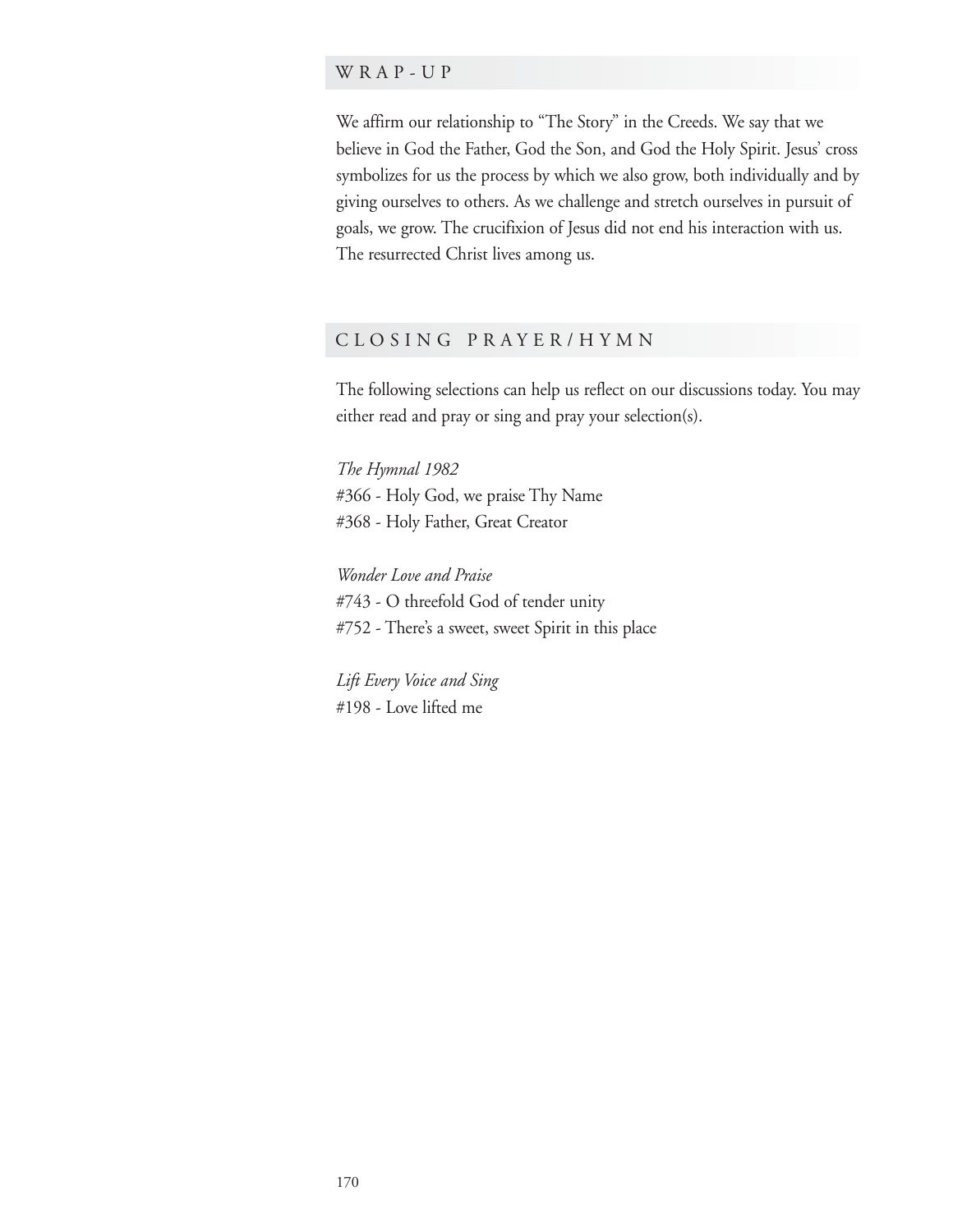#### WRAP-UP

We affirm our relationship to "The Story" in the Creeds. We say that we believe in God the Father, God the Son, and God the Holy Spirit. Jesus' cross symbolizes for us the process by which we also grow, both individually and by giving ourselves to others. As we challenge and stretch ourselves in pursuit of goals, we grow. The crucifixion of Jesus did not end his interaction with us. The resurrected Christ lives among us.

#### CLOSING PRAYER/HYMN

The following selections can help us reflect on our discussions today. You may either read and pray or sing and pray your selection(s).

*The Hymnal 1982* #366 - Holy God, we praise Thy Name #368 - Holy Father, Great Creator

*Wonder Love and Praise* #743 - O threefold God of tender unity #752 - There's a sweet, sweet Spirit in this place

*Lift Every Voice and Sing* #198 - Love lifted me